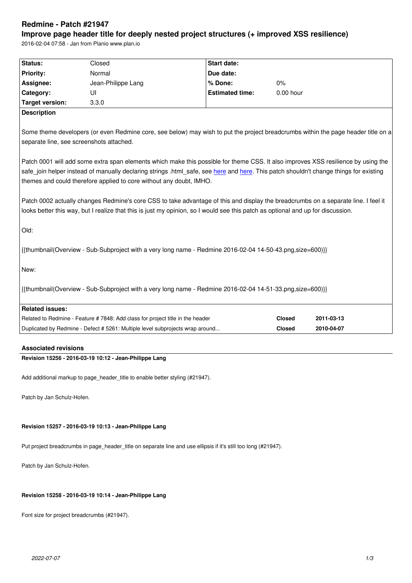#### **Improve page header title for deeply nested project structures (+ improved XSS resilience)**

2016-02-04 07:58 - Jan from Planio www.plan.io

| Status:                                                                                                                                                                                                                                                                                                                                                                                                                                                                                                                                                                                                                                                                                                                                                                                                     | Closed                                                                        | <b>Start date:</b>     |               |            |  |
|-------------------------------------------------------------------------------------------------------------------------------------------------------------------------------------------------------------------------------------------------------------------------------------------------------------------------------------------------------------------------------------------------------------------------------------------------------------------------------------------------------------------------------------------------------------------------------------------------------------------------------------------------------------------------------------------------------------------------------------------------------------------------------------------------------------|-------------------------------------------------------------------------------|------------------------|---------------|------------|--|
| <b>Priority:</b>                                                                                                                                                                                                                                                                                                                                                                                                                                                                                                                                                                                                                                                                                                                                                                                            | Normal                                                                        | Due date:              |               |            |  |
| Assignee:                                                                                                                                                                                                                                                                                                                                                                                                                                                                                                                                                                                                                                                                                                                                                                                                   | Jean-Philippe Lang                                                            | % Done:                | 0%            |            |  |
| Category:                                                                                                                                                                                                                                                                                                                                                                                                                                                                                                                                                                                                                                                                                                                                                                                                   | UI                                                                            | <b>Estimated time:</b> | 0.00 hour     |            |  |
| <b>Target version:</b>                                                                                                                                                                                                                                                                                                                                                                                                                                                                                                                                                                                                                                                                                                                                                                                      | 3.3.0                                                                         |                        |               |            |  |
| <b>Description</b>                                                                                                                                                                                                                                                                                                                                                                                                                                                                                                                                                                                                                                                                                                                                                                                          |                                                                               |                        |               |            |  |
| Some theme developers (or even Redmine core, see below) may wish to put the project breadcrumbs within the page header title on a<br>separate line, see screenshots attached.<br>Patch 0001 will add some extra span elements which make this possible for theme CSS. It also improves XSS resilience by using the<br>safe_join helper instead of manually declaring strings .html_safe, see here and here. This patch shouldn't change things for existing<br>themes and could therefore applied to core without any doubt, IMHO.<br>Patch 0002 actually changes Redmine's core CSS to take advantage of this and display the breadcrumbs on a separate line. I feel it<br>looks better this way, but I realize that this is just my opinion, so I would see this patch as optional and up for discussion. |                                                                               |                        |               |            |  |
| Old:                                                                                                                                                                                                                                                                                                                                                                                                                                                                                                                                                                                                                                                                                                                                                                                                        |                                                                               |                        |               |            |  |
| {{thumbnail(Overview - Sub-Subproject with a very long name - Redmine 2016-02-04 14-50-43.png,size=600)}}                                                                                                                                                                                                                                                                                                                                                                                                                                                                                                                                                                                                                                                                                                   |                                                                               |                        |               |            |  |
| New:                                                                                                                                                                                                                                                                                                                                                                                                                                                                                                                                                                                                                                                                                                                                                                                                        |                                                                               |                        |               |            |  |
| {{thumbnail(Overview - Sub-Subproject with a very long name - Redmine 2016-02-04 14-51-33.png,size=600)}}                                                                                                                                                                                                                                                                                                                                                                                                                                                                                                                                                                                                                                                                                                   |                                                                               |                        |               |            |  |
| <b>Related issues:</b>                                                                                                                                                                                                                                                                                                                                                                                                                                                                                                                                                                                                                                                                                                                                                                                      |                                                                               |                        |               |            |  |
|                                                                                                                                                                                                                                                                                                                                                                                                                                                                                                                                                                                                                                                                                                                                                                                                             | Related to Redmine - Feature #7848: Add class for project title in the header |                        | <b>Closed</b> | 2011-03-13 |  |
|                                                                                                                                                                                                                                                                                                                                                                                                                                                                                                                                                                                                                                                                                                                                                                                                             | Duplicated by Redmine - Defect # 5261: Multiple level subprojects wrap around |                        | Closed        | 2010-04-07 |  |
| the contract of the contract of the contract of the contract of the contract of the contract of the contract of                                                                                                                                                                                                                                                                                                                                                                                                                                                                                                                                                                                                                                                                                             |                                                                               |                        |               |            |  |

# **Associated revisions**

## **Revision 15256 - 2016-03-19 10:12 - Jean-Philippe Lang**

Add additional markup to page\_header\_title to enable better styling (#21947).

Patch by Jan Schulz-Hofen.

## **Revision 15257 - 2016-03-19 10:13 - Jean-Philippe Lang**

Put project breadcrumbs in page\_header\_title on separate line and use ellipsis if it's still too long (#21947).

Patch by Jan Schulz-Hofen.

## **Revision 15258 - 2016-03-19 10:14 - Jean-Philippe Lang**

Font size for project breadcrumbs (#21947).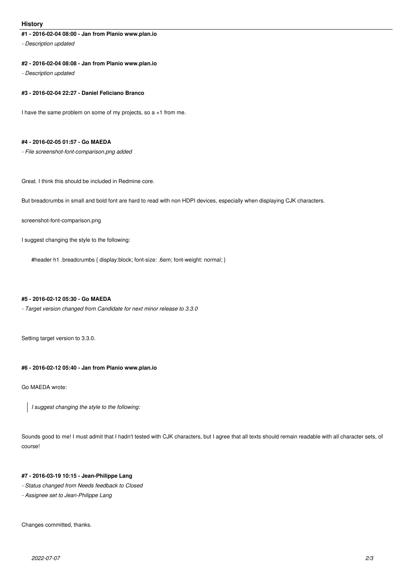### **History**

## **#1 - 2016-02-04 08:00 - Jan from Planio www.plan.io**

*- Description updated*

#### **#2 - 2016-02-04 08:08 - Jan from Planio www.plan.io**

*- Description updated*

#### **#3 - 2016-02-04 22:27 - Daniel Feliciano Branco**

I have the same problem on some of my projects, so a +1 from me.

#### **#4 - 2016-02-05 01:57 - Go MAEDA**

*- File screenshot-font-comparison.png added*

Great. I think this should be included in Redmine core.

But breadcrumbs in small and bold font are hard to read with non HDPI devices, especially when displaying CJK characters.

screenshot-font-comparison.png

I suggest changing the style to the following:

#header h1 .breadcrumbs { display:block; font-size: .6em; font-weight: normal; }

#### **#5 - 2016-02-12 05:30 - Go MAEDA**

*- Target version changed from Candidate for next minor release to 3.3.0*

Setting target version to 3.3.0.

## **#6 - 2016-02-12 05:40 - Jan from Planio www.plan.io**

Go MAEDA wrote:

*I suggest changing the style to the following:*

Sounds good to me! I must admit that I hadn't tested with CJK characters, but I agree that all texts should remain readable with all character sets, of course!

#### **#7 - 2016-03-19 10:15 - Jean-Philippe Lang**

- *Status changed from Needs feedback to Closed*
- *Assignee set to Jean-Philippe Lang*

Changes committed, thanks.